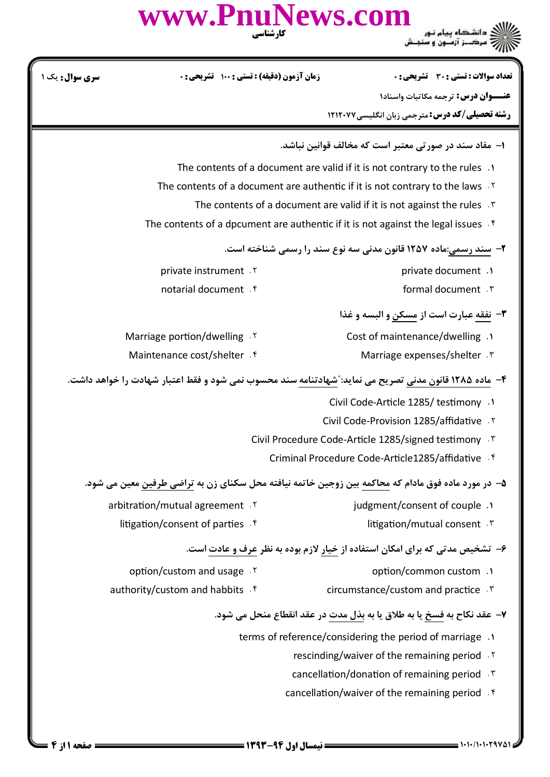|                        | www.PnuNews.com<br>کارشناسی                                                                            |  |                                                                                            |  |  |
|------------------------|--------------------------------------------------------------------------------------------------------|--|--------------------------------------------------------------------------------------------|--|--|
| <b>سری سوال :</b> یک ۱ | <b>زمان آزمون (دقیقه) : تستی : ۱۰۰ گشریحی: 0</b>                                                       |  | تعداد سوالات : تستي : 30 ٪ تشريحي : 0                                                      |  |  |
|                        |                                                                                                        |  | <b>عنـــوان درس:</b> ترجمه مكاتبات واسناد١                                                 |  |  |
|                        |                                                                                                        |  | <b>رشته تحصیلی/کد درس:</b> مترجمی زبان انگلیسی۷۷×۱۲۱۲                                      |  |  |
|                        |                                                                                                        |  | ۱– مفاد سند در صورتی معتبر است که مخالف قوانین نباشد.                                      |  |  |
|                        | The contents of a document are valid if it is not contrary to the rules .                              |  |                                                                                            |  |  |
|                        | The contents of a document are authentic if it is not contrary to the laws $\cdot$ Y                   |  |                                                                                            |  |  |
|                        | The contents of a document are valid if it is not against the rules .                                  |  |                                                                                            |  |  |
|                        | The contents of a dpcument are authentic if it is not against the legal issues $\cdot$ <sup>6</sup>    |  |                                                                                            |  |  |
|                        |                                                                                                        |  | ۲- سند رسمی:ماده ۱۲۵۷ قانون مدنی سه نوع سند را رسمی شناخته است.                            |  |  |
|                        | private instrument .Y                                                                                  |  | private document .1                                                                        |  |  |
|                        | notarial document f                                                                                    |  | formal document . \v                                                                       |  |  |
|                        |                                                                                                        |  | <b>٣</b> - نفقه عبارت است از مسكن و البسه و غذا                                            |  |  |
|                        | Marriage portion/dwelling . Y                                                                          |  | Cost of maintenance/dwelling .1                                                            |  |  |
|                        | Maintenance cost/shelter . f                                                                           |  | Marriage expenses/shelter . ٣                                                              |  |  |
|                        |                                                                                                        |  |                                                                                            |  |  |
|                        | ۴- ماده ۱۲۸۵ قانون مدنی تصریح می نماید: ؒشهادتنامه سند محسوب نمی شود و فقط اعتبار شهادت را خواهد داشت. |  |                                                                                            |  |  |
|                        |                                                                                                        |  | 1. Civil Code-Article 1285/ testimony                                                      |  |  |
|                        |                                                                                                        |  | Civil Code-Provision 1285/affidative . ٢                                                   |  |  |
|                        |                                                                                                        |  | Civil Procedure Code-Article 1285/signed testimony . \v                                    |  |  |
|                        |                                                                                                        |  | Criminal Procedure Code-Article1285/affidative . f                                         |  |  |
|                        | ۵– در مورد ماده فوق مادام که محاکمه بین زوجین خاتمه نیافته محل سکنای زن به تراضی طرفین معین می شود.    |  |                                                                                            |  |  |
|                        | arbitration/mutual agreement .Y                                                                        |  | judgment/consent of couple .1                                                              |  |  |
|                        | litigation/consent of parties f                                                                        |  | litigation/mutual consent . ٣                                                              |  |  |
|                        |                                                                                                        |  | ۶- تشخیص مدتی که برای امکان استفاده از <u>خیار</u> لازم بوده به نظر <u>عرف و عادت</u> است. |  |  |
|                        | option/custom and usage . Y                                                                            |  | option/common custom .1                                                                    |  |  |
|                        | authority/custom and habbits . f                                                                       |  | circumstance/custom and practice.                                                          |  |  |
|                        |                                                                                                        |  | ٧- عقد نكاح به فسخ يا به طلاق يا به بذل مدت در عقد انقطاع منحل مي شود.                     |  |  |
|                        |                                                                                                        |  | terms of reference/considering the period of marriage .1                                   |  |  |
|                        |                                                                                                        |  | rescinding/waiver of the remaining period .Y                                               |  |  |
|                        |                                                                                                        |  | cancellation/donation of remaining period . \vari                                          |  |  |
|                        |                                                                                                        |  | cancellation/waiver of the remaining period f                                              |  |  |
|                        |                                                                                                        |  |                                                                                            |  |  |
|                        |                                                                                                        |  |                                                                                            |  |  |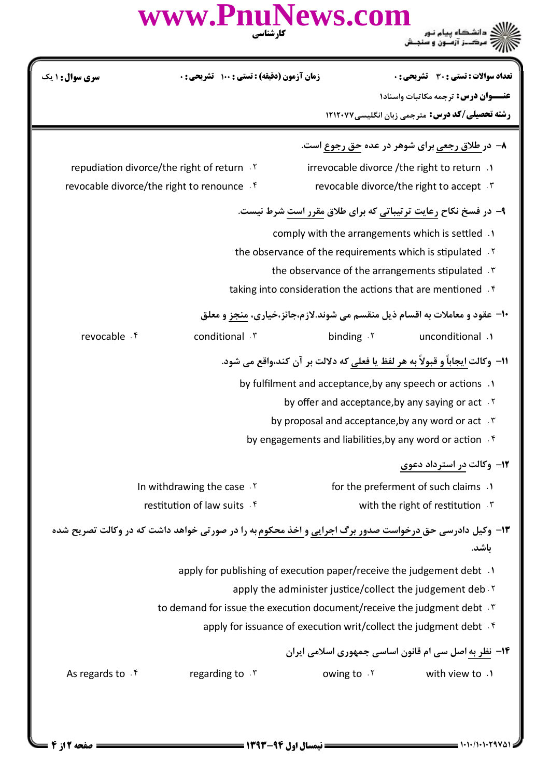|                                                               | www.PnuNews.com<br>کار شناسی                                                                                   |                                                                              |                                                        |  |
|---------------------------------------------------------------|----------------------------------------------------------------------------------------------------------------|------------------------------------------------------------------------------|--------------------------------------------------------|--|
| سری سوال: ۱ یک                                                | <b>زمان آزمون (دقیقه) : تستی : ۱۰۰ گشریحی: 0</b>                                                               |                                                                              | تعداد سوالات : تستي : 30 ٪ تشريحي : 0                  |  |
|                                                               |                                                                                                                |                                                                              | <b>عنـــوان درس:</b> ترجمه مکاتبات واسناد۱             |  |
|                                                               |                                                                                                                |                                                                              | <b>رشته تحصیلی/کد درس:</b> مترجمی زبان انگلیسی۷۷۲۱۲۰۷۷ |  |
|                                                               |                                                                                                                |                                                                              | ۸- در طلاق رجعی برای شوهر در عده حق رجوع است.          |  |
|                                                               | repudiation divorce/the right of return .Y                                                                     | irrevocable divorce / the right to return .                                  |                                                        |  |
|                                                               | revocable divorce/the right to renounce . f                                                                    |                                                                              | revocable divorce/the right to accept . \v             |  |
| ۹- در فسخ نکاح رعایت ترتیباتی که برای طلاق مقرر است شرط نیست. |                                                                                                                |                                                                              |                                                        |  |
|                                                               |                                                                                                                | comply with the arrangements which is settled .                              |                                                        |  |
|                                                               |                                                                                                                | the observance of the requirements which is stipulated . Y                   |                                                        |  |
| the observance of the arrangements stipulated T               |                                                                                                                |                                                                              |                                                        |  |
|                                                               |                                                                                                                | taking into consideration the actions that are mentioned f                   |                                                        |  |
|                                                               |                                                                                                                | ∙ا− عقود و معاملات به اقسام ذیل منقسم می شوند.لازم،جائز،خیاری، منجز و معلق   |                                                        |  |
| revocable . f                                                 | conditional . \v                                                                                               | binding $\cdot$                                                              | unconditional .                                        |  |
|                                                               |                                                                                                                | 11- وكالت ايجاباً و قبولاً به هر لفظ يا فعلى كه دلالت بر آن كند،واقع مى شود. |                                                        |  |
|                                                               |                                                                                                                | by fulfilment and acceptance, by any speech or actions .                     |                                                        |  |
|                                                               |                                                                                                                | by offer and acceptance, by any saying or act Y                              |                                                        |  |
| by proposal and acceptance, by any word or act . \v           |                                                                                                                |                                                                              |                                                        |  |
|                                                               |                                                                                                                | by engagements and liabilities, by any word or action . f                    |                                                        |  |
|                                                               |                                                                                                                |                                                                              | ۱۲– وکالت در استرداد دعوی                              |  |
|                                                               | In withdrawing the case . Y                                                                                    |                                                                              | for the preferment of such claims .                    |  |
|                                                               | restitution of law suits . f                                                                                   |                                                                              | with the right of restitution . r                      |  |
|                                                               | ۱۳- وکیل دادرسی حق <u>درخواست صدور برگ اجرایی و اخذ محکوم ب</u> ه را در صورتی خواهد داشت که در وکالت تصریح شده |                                                                              |                                                        |  |
|                                                               |                                                                                                                |                                                                              | ىاشد.                                                  |  |
|                                                               |                                                                                                                | apply for publishing of execution paper/receive the judgement debt .1        |                                                        |  |
| apply the administer justice/collect the judgement deb Y      |                                                                                                                |                                                                              |                                                        |  |
|                                                               | to demand for issue the execution document/receive the judgment debt . *                                       |                                                                              |                                                        |  |
|                                                               |                                                                                                                | apply for issuance of execution writ/collect the judgment debt f             |                                                        |  |
|                                                               |                                                                                                                | ۱۴- <u>نظر به</u> اصل سی ام قانون اساسی جمهوری اسلامی ایران                  |                                                        |  |
| As regards to $\cdot$ <sup>f</sup>                            | regarding to $.7$                                                                                              |                                                                              | owing to . Y with view to . N                          |  |
|                                                               |                                                                                                                |                                                                              |                                                        |  |
|                                                               |                                                                                                                |                                                                              |                                                        |  |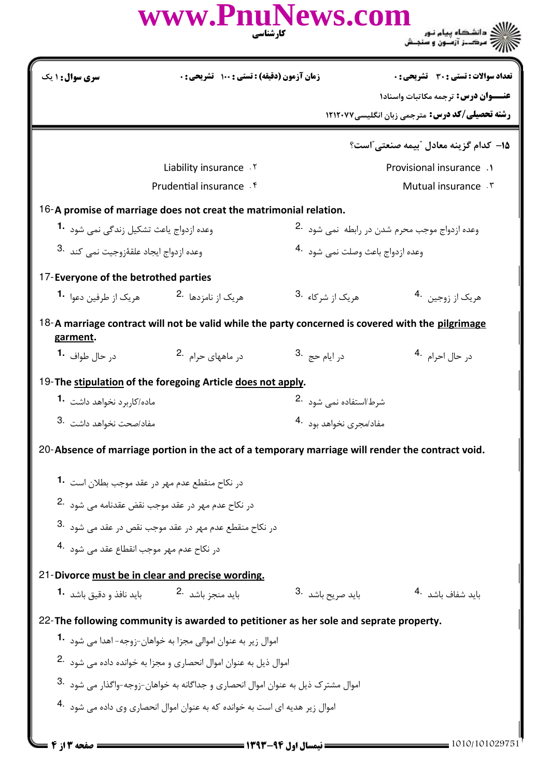|                                                 |                                                                                                                                                                              |                                     | نڪ دانشڪاه پيام نـور<br>سرڪــز آزمــون و سنجــش       |  |
|-------------------------------------------------|------------------------------------------------------------------------------------------------------------------------------------------------------------------------------|-------------------------------------|-------------------------------------------------------|--|
| سری سوال : ۱ یک                                 | زمان آزمون (دقیقه) : تستی : ۱۰۰٪ تشریحی : ۰                                                                                                                                  |                                     | تعداد سوالات : تستي : 30 - تشريحي : 0                 |  |
|                                                 |                                                                                                                                                                              |                                     | عنــوان درس: ترجمه مكاتبات واسناد١                    |  |
|                                                 |                                                                                                                                                                              |                                     | <b>رشته تحصیلی/کد درس:</b> مترجمی زبان انگلیسی۷۷×۱۲۱۲ |  |
|                                                 |                                                                                                                                                                              |                                     | 1۵– کدام گزینه معادل ″بیمه صنعتی″است؟                 |  |
|                                                 | Liability insurance . Y                                                                                                                                                      |                                     | Provisional insurance .1                              |  |
|                                                 | Prudential insurance f                                                                                                                                                       |                                     | Mutual insurance . ٣                                  |  |
|                                                 | 16-A promise of marriage does not creat the matrimonial relation.                                                                                                            |                                     |                                                       |  |
|                                                 | وعده ازدواج ياعث تشكيل زندگي نمي شود <sup>1</sup>                                                                                                                            |                                     | وعده ازدواج موجب محرم شدن در رابطه نمی شود 2.         |  |
| وعده ازدواج ايجاد علقهٔزوجيت نمي كند .3         |                                                                                                                                                                              | وعده ازدواج باعث وصلت نمي شود 4.    |                                                       |  |
| 17-Everyone of the betrothed parties            |                                                                                                                                                                              |                                     |                                                       |  |
| هريک از طرفين دعوا. <b>1۰</b>                   | هریک از نامزدها 2.                                                                                                                                                           | هریک از شرکا <b>ء</b> 3.            | هريک از زوجين 4.                                      |  |
| garment.                                        | 18-A marriage contract will not be valid while the party concerned is covered with the pilgrimage                                                                            |                                     |                                                       |  |
| د <sub>ر</sub> حال طواف <b>1۰</b>               | د <sub>ر</sub> ماههای حرام 2.                                                                                                                                                | 3. در ايام حج                       | د <sub>ر</sub> حال احرام <sup>4</sup> ۰               |  |
|                                                 | 19-The stipulation of the foregoing Article does not apply.                                                                                                                  |                                     |                                                       |  |
| ماده/کا <sub>ر</sub> برد نخواهد داشت <b>1</b> ۰ |                                                                                                                                                                              | شرط/استفاده نمی شود <sup>.2</sup>   |                                                       |  |
|                                                 |                                                                                                                                                                              | مفاد/مجری نخواهد بود <sup>4</sup> ۰ |                                                       |  |
| 3. مفاد/صحت نخواهد داشت 3.                      |                                                                                                                                                                              |                                     |                                                       |  |
|                                                 | 20-Absence of marriage portion in the act of a temporary marriage will render the contract void.                                                                             |                                     |                                                       |  |
|                                                 |                                                                                                                                                                              |                                     |                                                       |  |
|                                                 | در نکاح منقطع عدم مهر در عقد موجب بطلان است <b>1۰</b>                                                                                                                        |                                     |                                                       |  |
|                                                 | در نکاح عدم مهر در عقد موجب نقض عقدنامه می شود 2.                                                                                                                            |                                     |                                                       |  |
|                                                 | در نکاح منقطع عدم مهر در عقد موجب نقص در عقد می شود $\cdot$ 3.                                                                                                               |                                     |                                                       |  |
| در نکاح عدم مهر موجب انقطاع عقد مے, شود 4.      |                                                                                                                                                                              |                                     |                                                       |  |
|                                                 | 21-Divorce must be in clear and precise wording.                                                                                                                             |                                     |                                                       |  |
|                                                 | بايد منجز باشد <sup>.2</sup> منطق باشد .1 منطق باشد .1 منطق .1 منطق .1 منطق .1 منطق .1 منطق .1 منطق .1 منطق .                                                                | باید صریح باشد <sup>.3</sup>        | باید شفاف باشد <sup>.4</sup>                          |  |
|                                                 | 22-The following community is awarded to petitioner as her sole and seprate property.                                                                                        |                                     |                                                       |  |
|                                                 | اموال زير به عنوان اموالي مجزا به خواهان-زوجه- اهدا مي شود <b>-1</b>                                                                                                         |                                     |                                                       |  |
|                                                 | اموال ذيل به عنوان اموال انحصاري و مجزا به خوانده داده مي شود <sup>.2</sup>                                                                                                  |                                     |                                                       |  |
|                                                 | اموال مشترک ذیل به عنوان اموال انحصاری و جداگانه به خواهان-زوجه-واگذار می شود 3.<br>اموال زیر هدیه ای است به خوانده که به عنوان اموال انحصاری وی داده مے, شود <sup>4</sup> ۰ |                                     |                                                       |  |